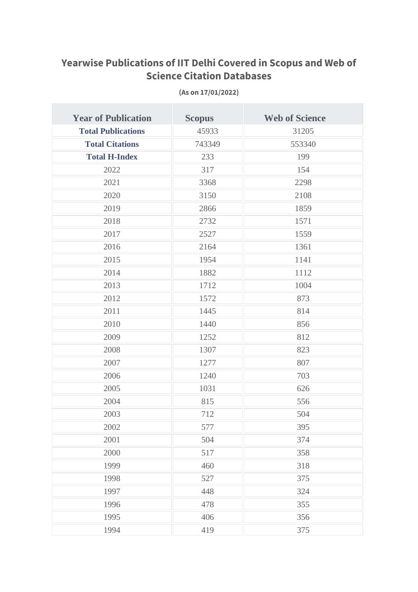## **Yearwise Publications of IIT Delhi Covered in Scopus and Web of Science Citation Databases**

| <b>Year of Publication</b> | <b>Scopus</b> | <b>Web of Science</b> |
|----------------------------|---------------|-----------------------|
| <b>Total Publications</b>  | 45933         | 31205                 |
| <b>Total Citations</b>     | 743349        | 553340                |
| <b>Total H-Index</b>       | 233           | 199                   |
| 2022                       | 317           | 154                   |
| 2021                       | 3368          | 2298                  |
| 2020                       | 3150          | 2108                  |
| 2019                       | 2866          | 1859                  |
| 2018                       | 2732          | 1571                  |
| 2017                       | 2527          | 1559                  |
| 2016                       | 2164          | 1361                  |
| 2015                       | 1954          | 1141                  |
| 2014                       | 1882          | 1112                  |
| 2013                       | 1712          | 1004                  |
| 2012                       | 1572          | 873                   |
| 2011                       | 1445          | 814                   |
| 2010                       | 1440          | 856                   |
| 2009                       | 1252          | 812                   |
| 2008                       | 1307          | 823                   |
| 2007                       | 1277          | 807                   |
| 2006                       | 1240          | 703                   |
| 2005                       | 1031          | 626                   |
| 2004                       | 815           | 556                   |
| 2003                       | 712           | 504                   |
| 2002                       | 577           | 395                   |
| 2001                       | 504           | 374                   |
| 2000                       | 517           | 358                   |
| 1999                       | 460           | 318                   |
| 1998                       | 527           | 375                   |
| 1997                       | 448           | 324                   |
| 1996                       | 478           | 355                   |
| 1995                       | 406           | 356                   |
| 1994                       | 419           | 375                   |

**(As on 17/01/2022)**